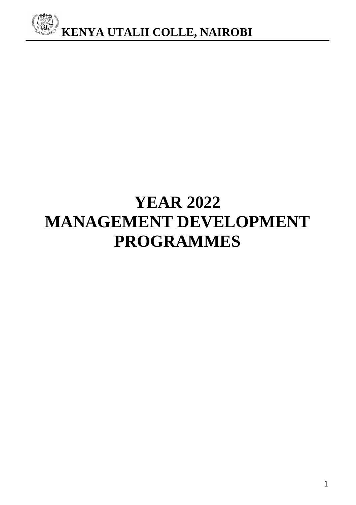

# **YEAR 2022 MANAGEMENT DEVELOPMENT PROGRAMMES**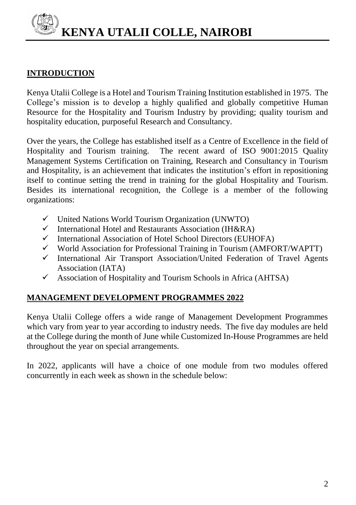# **INTRODUCTION**

Kenya Utalii College is a Hotel and Tourism Training Institution established in 1975. The College's mission is to develop a highly qualified and globally competitive Human Resource for the Hospitality and Tourism Industry by providing; quality tourism and hospitality education, purposeful Research and Consultancy.

Over the years, the College has established itself as a Centre of Excellence in the field of Hospitality and Tourism training. The recent award of ISO 9001:2015 Quality Management Systems Certification on Training, Research and Consultancy in Tourism and Hospitality, is an achievement that indicates the institution's effort in repositioning itself to continue setting the trend in training for the global Hospitality and Tourism. Besides its international recognition, the College is a member of the following organizations:

- $\checkmark$  United Nations World Tourism Organization (UNWTO)<br> $\checkmark$  International Hotel and Restaurants Association (IH&RA)
- International Hotel and Restaurants Association (IH&RA)
- $\checkmark$  International Association of Hotel School Directors (EUHOFA)
- $\checkmark$  World Association for Professional Training in Tourism (AMFORT/WAPTT)
- $\checkmark$  International Air Transport Association/United Federation of Travel Agents Association (IATA)
- $\checkmark$  Association of Hospitality and Tourism Schools in Africa (AHTSA)

# **MANAGEMENT DEVELOPMENT PROGRAMMES 2022**

Kenya Utalii College offers a wide range of Management Development Programmes which vary from year to year according to industry needs. The five day modules are held at the College during the month of June while Customized In-House Programmes are held throughout the year on special arrangements.

In 2022, applicants will have a choice of one module from two modules offered concurrently in each week as shown in the schedule below: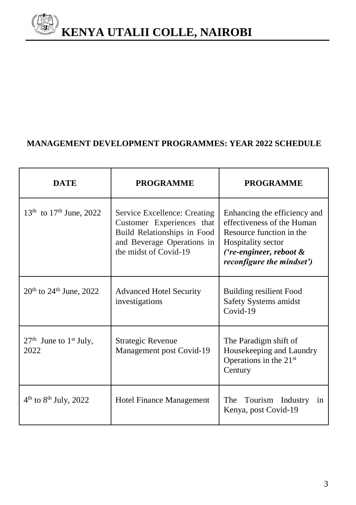

# **MANAGEMENT DEVELOPMENT PROGRAMMES: YEAR 2022 SCHEDULE**

| <b>DATE</b>                         | <b>PROGRAMME</b>                                                                                                                                | <b>PROGRAMME</b>                                                                                                                                                            |
|-------------------------------------|-------------------------------------------------------------------------------------------------------------------------------------------------|-----------------------------------------------------------------------------------------------------------------------------------------------------------------------------|
| $13^{th}$ to $17^{th}$ June, 2022   | Service Excellence: Creating<br>Customer Experiences that<br>Build Relationships in Food<br>and Beverage Operations in<br>the midst of Covid-19 | Enhancing the efficiency and<br>effectiveness of the Human<br>Resource function in the<br>Hospitality sector<br>('re-engineer, reboot &<br><i>reconfigure the mindset')</i> |
| $20^{th}$ to $24^{th}$ June, $2022$ | <b>Advanced Hotel Security</b><br>investigations                                                                                                | <b>Building resilient Food</b><br>Safety Systems amidst<br>Covid-19                                                                                                         |
| $27th$ June to $1st$ July,<br>2022  | <b>Strategic Revenue</b><br>Management post Covid-19                                                                                            | The Paradigm shift of<br>Housekeeping and Laundry<br>Operations in the 21 <sup>st</sup><br>Century                                                                          |
| $4th$ to $8th$ July, 2022           | Hotel Finance Management                                                                                                                        | The<br>Tourism Industry<br>in<br>Kenya, post Covid-19                                                                                                                       |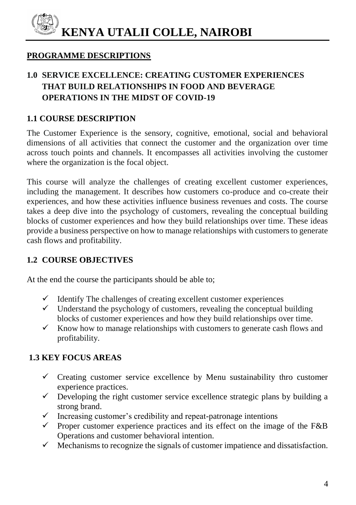# **PROGRAMME DESCRIPTIONS**

# **1.0 SERVICE EXCELLENCE: CREATING CUSTOMER EXPERIENCES THAT BUILD RELATIONSHIPS IN FOOD AND BEVERAGE OPERATIONS IN THE MIDST OF COVID-19**

# **1.1 COURSE DESCRIPTION**

The Customer Experience is the sensory, cognitive, emotional, social and behavioral dimensions of all activities that connect the customer and the organization over time across touch points and channels. It encompasses all activities involving the customer where the organization is the focal object.

This course will analyze the challenges of creating excellent customer experiences, including the management. It describes how customers co-produce and co-create their experiences, and how these activities influence business revenues and costs. The course takes a deep dive into the psychology of customers, revealing the conceptual building blocks of customer experiences and how they build relationships over time. These ideas provide a business perspective on how to manage relationships with customers to generate cash flows and profitability.

# **1.2 COURSE OBJECTIVES**

At the end the course the participants should be able to;

- $\checkmark$  Identify The challenges of creating excellent customer experiences
- $\checkmark$  Understand the psychology of customers, revealing the conceptual building blocks of customer experiences and how they build relationships over time.
- $\checkmark$  Know how to manage relationships with customers to generate cash flows and profitability.

# **1.3 KEY FOCUS AREAS**

- $\checkmark$  Creating customer service excellence by Menu sustainability thro customer experience practices.
- $\checkmark$  Developing the right customer service excellence strategic plans by building a strong brand.
- $\checkmark$  Increasing customer's credibility and repeat-patronage intentions
- $\checkmark$  Proper customer experience practices and its effect on the image of the F&B Operations and customer behavioral intention.
- $\checkmark$  Mechanisms to recognize the signals of customer impatience and dissatisfaction.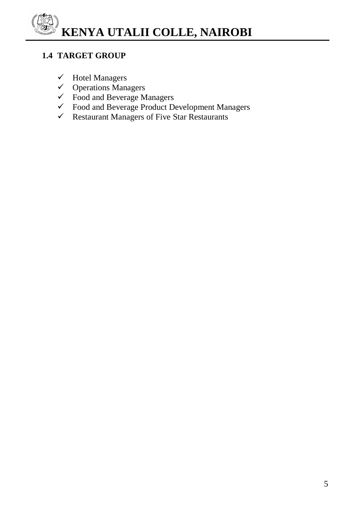# **1.4 TARGET GROUP**

- $\checkmark$  Hotel Managers
- $\checkmark$  Operations Managers
- Food and Beverage Managers
- Food and Beverage Product Development Managers
- $\checkmark$  Restaurant Managers of Five Star Restaurants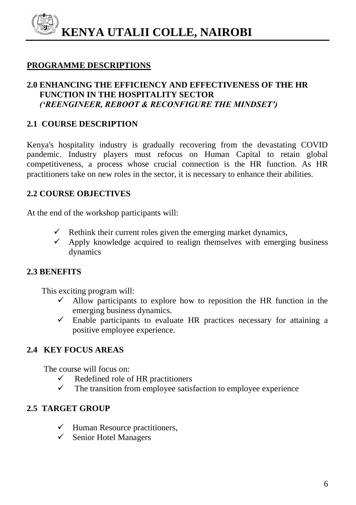#### **PROGRAMME DESCRIPTIONS**

#### **2.0 ENHANCING THE EFFICIENCY AND EFFECTIVENESS OF THE HR FUNCTION IN THE HOSPITALITY SECTOR**  *('REENGINEER, REBOOT & RECONFIGURE THE MINDSET')*

#### **2.1 COURSE DESCRIPTION**

Kenya's hospitality industry is gradually recovering from the devastating COVID pandemic. Industry players must refocus on Human Capital to retain global competitiveness, a process whose crucial connection is the HR function. As HR practitioners take on new roles in the sector, it is necessary to enhance their abilities.

#### **2.2 COURSE OBJECTIVES**

At the end of the workshop participants will:

- $\checkmark$  Rethink their current roles given the emerging market dynamics,
- Apply knowledge acquired to realign themselves with emerging business dynamics

#### **2.3 BENEFITS**

This exciting program will:

- $\checkmark$  Allow participants to explore how to reposition the HR function in the emerging business dynamics.
- $\checkmark$  Enable participants to evaluate HR practices necessary for attaining a positive employee experience.

#### **2.4 KEY FOCUS AREAS**

The course will focus on:

- $\checkmark$  Redefined role of HR practitioners
- $\checkmark$  The transition from employee satisfaction to employee experience

#### **2.5 TARGET GROUP**

- $\checkmark$  Human Resource practitioners,
- $\checkmark$  Senior Hotel Managers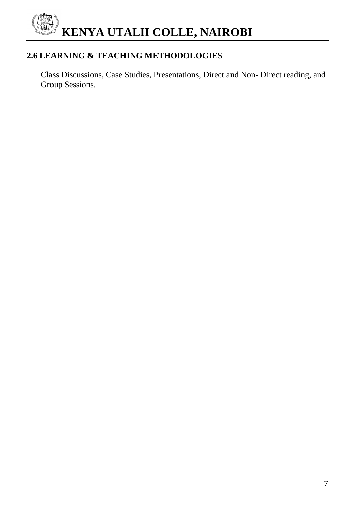# **2.6 LEARNING & TEACHING METHODOLOGIES**

 Class Discussions, Case Studies, Presentations, Direct and Non- Direct reading, and Group Sessions.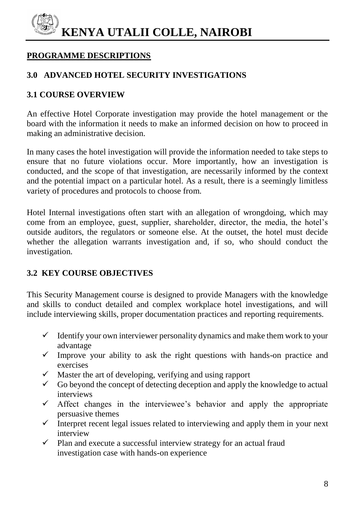# **PROGRAMME DESCRIPTIONS**

#### **3.0 ADVANCED HOTEL SECURITY INVESTIGATIONS**

#### **3.1 COURSE OVERVIEW**

An effective Hotel Corporate investigation may provide the hotel management or the board with the information it needs to make an informed decision on how to proceed in making an administrative decision.

In many cases the hotel investigation will provide the information needed to take steps to ensure that no future violations occur. More importantly, how an investigation is conducted, and the scope of that investigation, are necessarily informed by the context and the potential impact on a particular hotel. As a result, there is a seemingly limitless variety of procedures and protocols to choose from.

Hotel Internal investigations often start with an allegation of wrongdoing, which may come from an employee, guest, supplier, shareholder, director, the media, the hotel's outside auditors, the regulators or someone else. At the outset, the hotel must decide whether the allegation warrants investigation and, if so, who should conduct the investigation.

#### **3.2 KEY COURSE OBJECTIVES**

This Security Management course is designed to provide Managers with the knowledge and skills to conduct detailed and complex workplace hotel investigations, and will include interviewing skills, proper documentation practices and reporting requirements.

- $\checkmark$  Identify your own interviewer personality dynamics and make them work to your advantage
- $\checkmark$  Improve your ability to ask the right questions with hands-on practice and exercises
- $\checkmark$  Master the art of developing, verifying and using rapport
- $\checkmark$  Go beyond the concept of detecting deception and apply the knowledge to actual interviews
- $\checkmark$  Affect changes in the interviewee's behavior and apply the appropriate persuasive themes
- $\checkmark$  Interpret recent legal issues related to interviewing and apply them in your next interview
- $\checkmark$  Plan and execute a successful interview strategy for an actual fraud investigation case with hands-on experience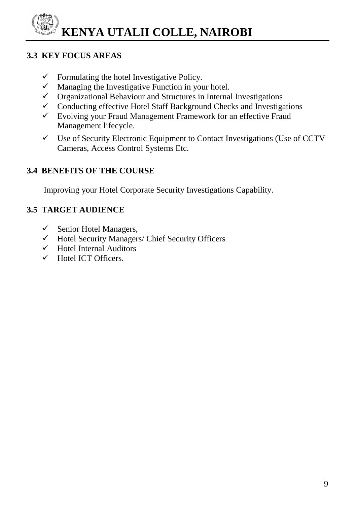# **3.3 KEY FOCUS AREAS**

- $\checkmark$  Formulating the hotel Investigative Policy.
- $\checkmark$  Managing the Investigative Function in your hotel.
- $\checkmark$  Organizational Behaviour and Structures in Internal Investigations
- $\checkmark$  Conducting effective Hotel Staff Background Checks and Investigations
- $\checkmark$  Evolving your Fraud Management Framework for an effective Fraud Management lifecycle.
- $\checkmark$  Use of Security Electronic Equipment to Contact Investigations (Use of CCTV Cameras, Access Control Systems Etc.

# **3.4 BENEFITS OF THE COURSE**

Improving your Hotel Corporate Security Investigations Capability.

# **3.5 TARGET AUDIENCE**

- $\checkmark$  Senior Hotel Managers,
- $\checkmark$  Hotel Security Managers/ Chief Security Officers
- $\checkmark$  Hotel Internal Auditors
- $\checkmark$  Hotel ICT Officers.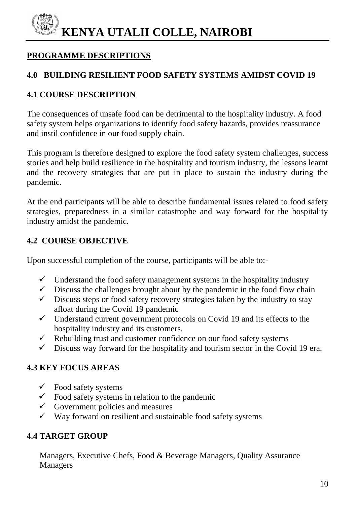# **PROGRAMME DESCRIPTIONS**

#### **4.0 BUILDING RESILIENT FOOD SAFETY SYSTEMS AMIDST COVID 19**

#### **4.1 COURSE DESCRIPTION**

The consequences of unsafe food can be detrimental to the hospitality industry. A food safety system helps organizations to identify food safety hazards, provides reassurance and instil confidence in our food supply chain.

This program is therefore designed to explore the food safety system challenges, success stories and help build resilience in the hospitality and tourism industry, the lessons learnt and the recovery strategies that are put in place to sustain the industry during the pandemic.

At the end participants will be able to describe fundamental issues related to food safety strategies, preparedness in a similar catastrophe and way forward for the hospitality industry amidst the pandemic.

#### **4.2 COURSE OBJECTIVE**

Upon successful completion of the course, participants will be able to:-

- $\checkmark$  Understand the food safety management systems in the hospitality industry
- $\checkmark$  Discuss the challenges brought about by the pandemic in the food flow chain
- $\checkmark$  Discuss steps or food safety recovery strategies taken by the industry to stay afloat during the Covid 19 pandemic
- $\checkmark$  Understand current government protocols on Covid 19 and its effects to the hospitality industry and its customers.
- $\checkmark$  Rebuilding trust and customer confidence on our food safety systems
- $\checkmark$  Discuss way forward for the hospitality and tourism sector in the Covid 19 era.

# **4.3 KEY FOCUS AREAS**

- $\checkmark$  Food safety systems
- $\checkmark$  Food safety systems in relation to the pandemic
- $\checkmark$  Government policies and measures
- $\checkmark$  Way forward on resilient and sustainable food safety systems

#### **4.4 TARGET GROUP**

 Managers, Executive Chefs, Food & Beverage Managers, Quality Assurance Managers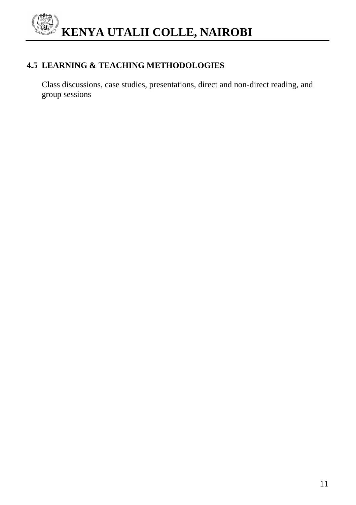### **4.5 LEARNING & TEACHING METHODOLOGIES**

 Class discussions, case studies, presentations, direct and non-direct reading, and group sessions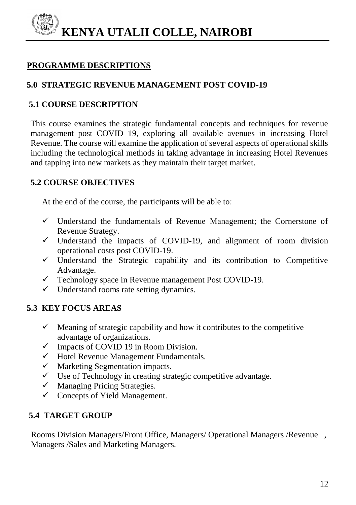#### **PROGRAMME DESCRIPTIONS**

### **5.0 STRATEGIC REVENUE MANAGEMENT POST COVID-19**

#### **5.1 COURSE DESCRIPTION**

This course examines the strategic fundamental concepts and techniques for revenue management post COVID 19, exploring all available avenues in increasing Hotel Revenue. The course will examine the application of several aspects of operational skills including the technological methods in taking advantage in increasing Hotel Revenues and tapping into new markets as they maintain their target market.

#### **5.2 COURSE OBJECTIVES**

At the end of the course, the participants will be able to:

- $\checkmark$  Understand the fundamentals of Revenue Management; the Cornerstone of Revenue Strategy.
- $\checkmark$  Understand the impacts of COVID-19, and alignment of room division operational costs post COVID-19.
- $\checkmark$  Understand the Strategic capability and its contribution to Competitive Advantage.
- $\checkmark$  Technology space in Revenue management Post COVID-19.
- $\checkmark$  Understand rooms rate setting dynamics.

#### **5.3 KEY FOCUS AREAS**

- $\checkmark$  Meaning of strategic capability and how it contributes to the competitive advantage of organizations.
- $\checkmark$  Impacts of COVID 19 in Room Division.
- $\checkmark$  Hotel Revenue Management Fundamentals.
- $\checkmark$  Marketing Segmentation impacts.
- $\checkmark$  Use of Technology in creating strategic competitive advantage.
- $\checkmark$  Managing Pricing Strategies.
- $\checkmark$  Concepts of Yield Management.

#### **5.4 TARGET GROUP**

 Rooms Division Managers/Front Office, Managers/ Operational Managers /Revenue , Managers /Sales and Marketing Managers.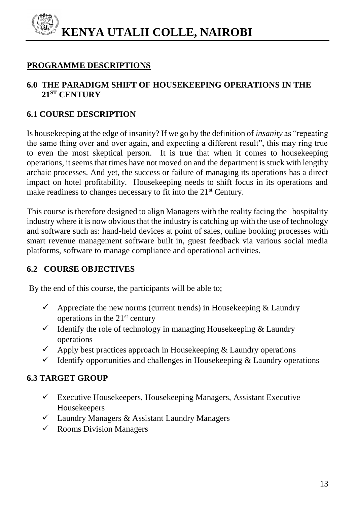#### **PROGRAMME DESCRIPTIONS**

#### **6.0 THE PARADIGM SHIFT OF HOUSEKEEPING OPERATIONS IN THE 21ST CENTURY**

### **6.1 COURSE DESCRIPTION**

Is housekeeping at the edge of insanity? If we go by the definition of *insanity* as "repeating the same thing over and over again, and expecting a different result", this may ring true to even the most skeptical person. It is true that when it comes to housekeeping operations, it seems that times have not moved on and the department is stuck with lengthy archaic processes. And yet, the success or failure of managing its operations has a direct impact on hotel profitability. Housekeeping needs to shift focus in its operations and make readiness to changes necessary to fit into the 21<sup>st</sup> Century.

This course is therefore designed to align Managers with the reality facing the hospitality industry where it is now obvious that the industry is catching up with the use of technology and software such as: hand-held devices at point of sales, online booking processes with smart revenue management software built in, guest feedback via various social media platforms, software to manage compliance and operational activities.

# **6.2 COURSE OBJECTIVES**

By the end of this course, the participants will be able to;

- $\checkmark$  Appreciate the new norms (current trends) in Housekeeping & Laundry operations in the  $21<sup>st</sup>$  century
- $\checkmark$  Identify the role of technology in managing Housekeeping & Laundry operations
- $\checkmark$  Apply best practices approach in Housekeeping & Laundry operations
- $\checkmark$  Identify opportunities and challenges in Housekeeping & Laundry operations

# **6.3 TARGET GROUP**

- $\checkmark$  Executive Housekeepers, Housekeeping Managers, Assistant Executive Housekeepers
- $\checkmark$  Laundry Managers & Assistant Laundry Managers
- $\checkmark$  Rooms Division Managers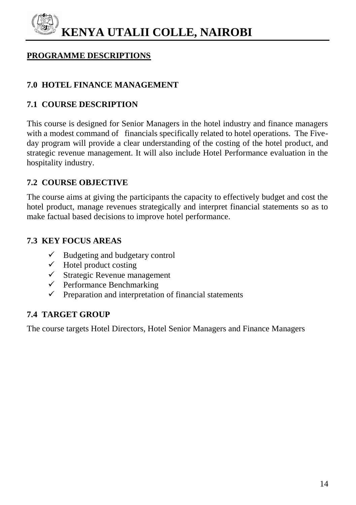#### **PROGRAMME DESCRIPTIONS**

# **7.0 HOTEL FINANCE MANAGEMENT**

#### **7.1 COURSE DESCRIPTION**

This course is designed for Senior Managers in the hotel industry and finance managers with a modest command of financials specifically related to hotel operations. The Fiveday program will provide a clear understanding of the costing of the hotel product, and strategic revenue management. It will also include Hotel Performance evaluation in the hospitality industry.

#### **7.2 COURSE OBJECTIVE**

The course aims at giving the participants the capacity to effectively budget and cost the hotel product, manage revenues strategically and interpret financial statements so as to make factual based decisions to improve hotel performance.

#### **7.3 KEY FOCUS AREAS**

- $\checkmark$  Budgeting and budgetary control
- $\checkmark$  Hotel product costing
- $\checkmark$  Strategic Revenue management
- $\checkmark$  Performance Benchmarking
- $\checkmark$  Preparation and interpretation of financial statements

# **7.4 TARGET GROUP**

The course targets Hotel Directors, Hotel Senior Managers and Finance Managers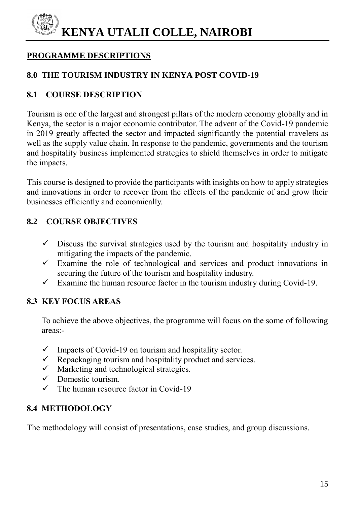# **PROGRAMME DESCRIPTIONS**

# **8.0 THE TOURISM INDUSTRY IN KENYA POST COVID-19**

# **8.1 COURSE DESCRIPTION**

Tourism is one of the largest and strongest pillars of the modern economy globally and in Kenya, the sector is a major economic contributor. The advent of the Covid-19 pandemic in 2019 greatly affected the sector and impacted significantly the potential travelers as well as the supply value chain. In response to the pandemic, governments and the tourism and hospitality business implemented strategies to shield themselves in order to mitigate the impacts.

This course is designed to provide the participants with insights on how to apply strategies and innovations in order to recover from the effects of the pandemic of and grow their businesses efficiently and economically.

# **8.2 COURSE OBJECTIVES**

- $\checkmark$  Discuss the survival strategies used by the tourism and hospitality industry in mitigating the impacts of the pandemic.
- $\checkmark$  Examine the role of technological and services and product innovations in securing the future of the tourism and hospitality industry.
- $\checkmark$  Examine the human resource factor in the tourism industry during Covid-19.

#### **8.3 KEY FOCUS AREAS**

 To achieve the above objectives, the programme will focus on the some of following areas:-

- $\checkmark$  Impacts of Covid-19 on tourism and hospitality sector.
- $\checkmark$  Repackaging tourism and hospitality product and services.
- $\checkmark$  Marketing and technological strategies.
- $\checkmark$  Domestic tourism.
- $\checkmark$  The human resource factor in Covid-19

# **8.4 METHODOLOGY**

The methodology will consist of presentations, case studies, and group discussions.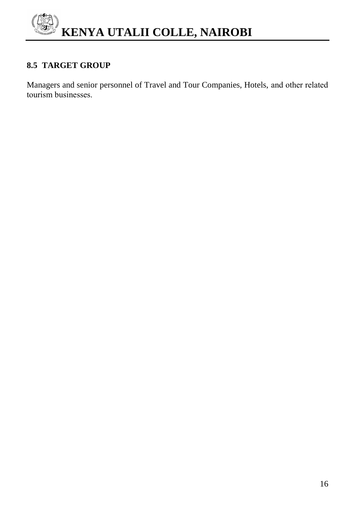

### **8.5 TARGET GROUP**

Managers and senior personnel of Travel and Tour Companies, Hotels, and other related tourism businesses.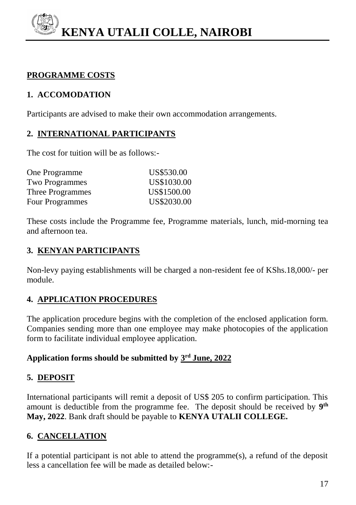# **PROGRAMME COSTS**

# **1. ACCOMODATION**

Participants are advised to make their own accommodation arrangements.

# **2. INTERNATIONAL PARTICIPANTS**

The cost for tuition will be as follows:-

| US\$530.00  |
|-------------|
| US\$1030.00 |
| US\$1500.00 |
| US\$2030.00 |
|             |

These costs include the Programme fee, Programme materials, lunch, mid-morning tea and afternoon tea.

# **3. KENYAN PARTICIPANTS**

Non-levy paying establishments will be charged a non-resident fee of KShs.18,000/- per module.

# **4. APPLICATION PROCEDURES**

The application procedure begins with the completion of the enclosed application form. Companies sending more than one employee may make photocopies of the application form to facilitate individual employee application.

# **Application forms should be submitted by 3 rd June, 2022**

# **5. DEPOSIT**

International participants will remit a deposit of US\$ 205 to confirm participation. This amount is deductible from the programme fee. The deposit should be received by **9 th May, 2022**. Bank draft should be payable to **KENYA UTALII COLLEGE.**

# **6. CANCELLATION**

If a potential participant is not able to attend the programme $(s)$ , a refund of the deposit less a cancellation fee will be made as detailed below:-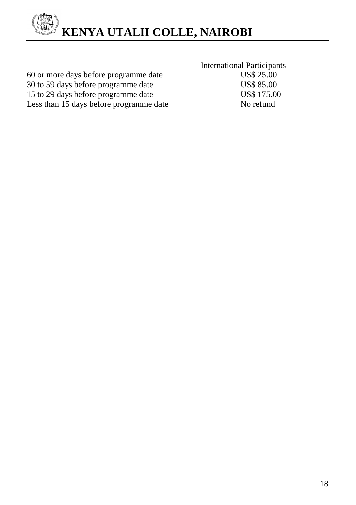

|                                         | <b>International Participants</b> |
|-----------------------------------------|-----------------------------------|
| 60 or more days before programme date   | <b>US\$ 25.00</b>                 |
| 30 to 59 days before programme date     | <b>US\$ 85.00</b>                 |
| 15 to 29 days before programme date     | <b>US\$ 175.00</b>                |
| Less than 15 days before programme date | No refund                         |